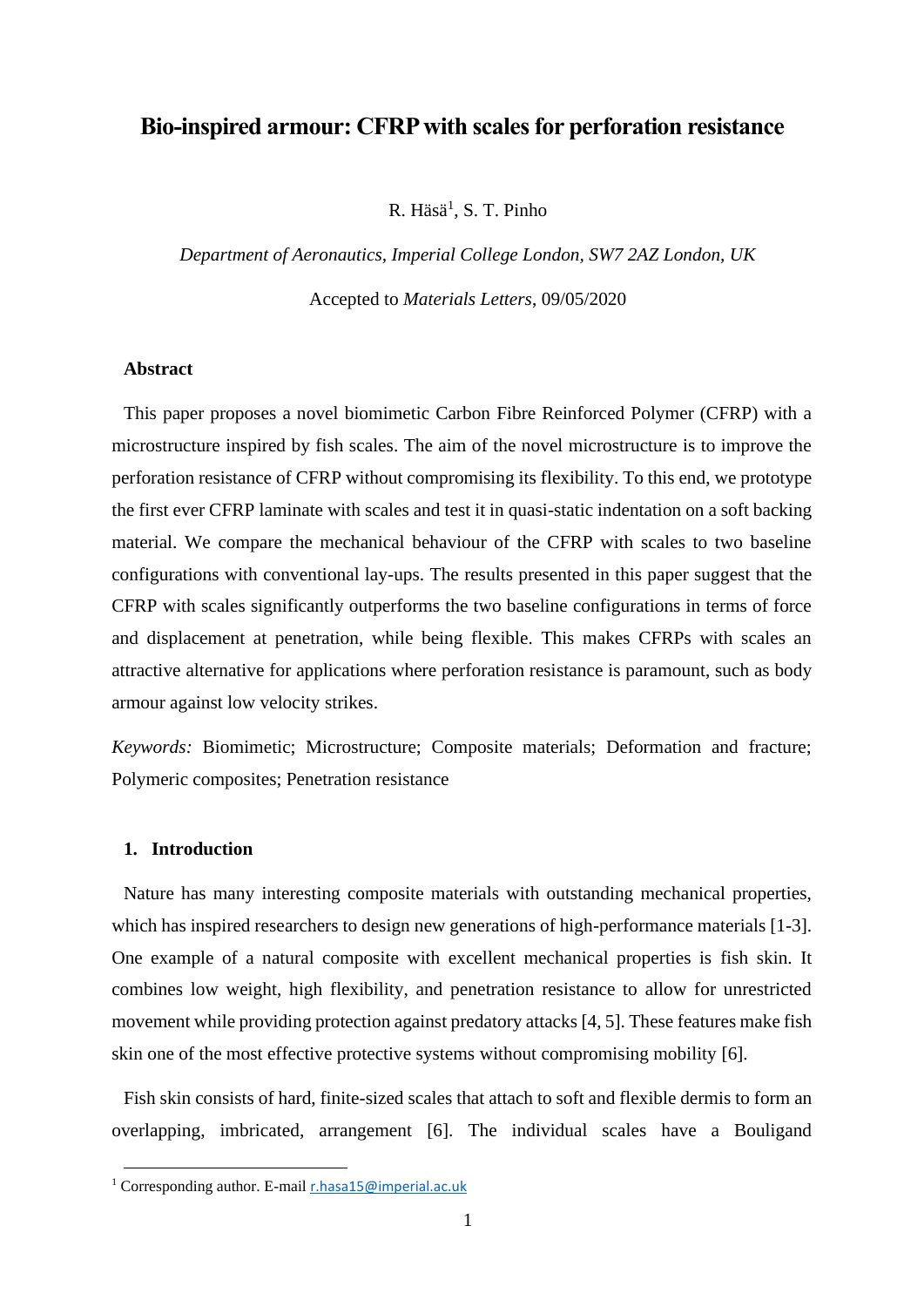# **Bio-inspired armour: CFRP with scales for perforation resistance**

R. Häsä<sup>1</sup>, S. T. Pinho

*Department of Aeronautics, Imperial College London, SW7 2AZ London, UK* Accepted to *Materials Letters*, 09/05/2020

### **Abstract**

This paper proposes a novel biomimetic Carbon Fibre Reinforced Polymer (CFRP) with a microstructure inspired by fish scales. The aim of the novel microstructure is to improve the perforation resistance of CFRP without compromising its flexibility. To this end, we prototype the first ever CFRP laminate with scales and test it in quasi-static indentation on a soft backing material. We compare the mechanical behaviour of the CFRP with scales to two baseline configurations with conventional lay-ups. The results presented in this paper suggest that the CFRP with scales significantly outperforms the two baseline configurations in terms of force and displacement at penetration, while being flexible. This makes CFRPs with scales an attractive alternative for applications where perforation resistance is paramount, such as body armour against low velocity strikes.

*Keywords:* Biomimetic; Microstructure; Composite materials; Deformation and fracture; Polymeric composites; Penetration resistance

### **1. Introduction**

Nature has many interesting composite materials with outstanding mechanical properties, which has inspired researchers to design new generations of high-performance materials [1-3]. One example of a natural composite with excellent mechanical properties is fish skin. It combines low weight, high flexibility, and penetration resistance to allow for unrestricted movement while providing protection against predatory attacks [4, 5]. These features make fish skin one of the most effective protective systems without compromising mobility [6].

Fish skin consists of hard, finite-sized scales that attach to soft and flexible dermis to form an overlapping, imbricated, arrangement [6]. The individual scales have a Bouligand

<sup>1</sup> Corresponding author. E-mail [r.hasa15@imperial.ac.uk](mailto:r.hasa15@imperial.ac.uk)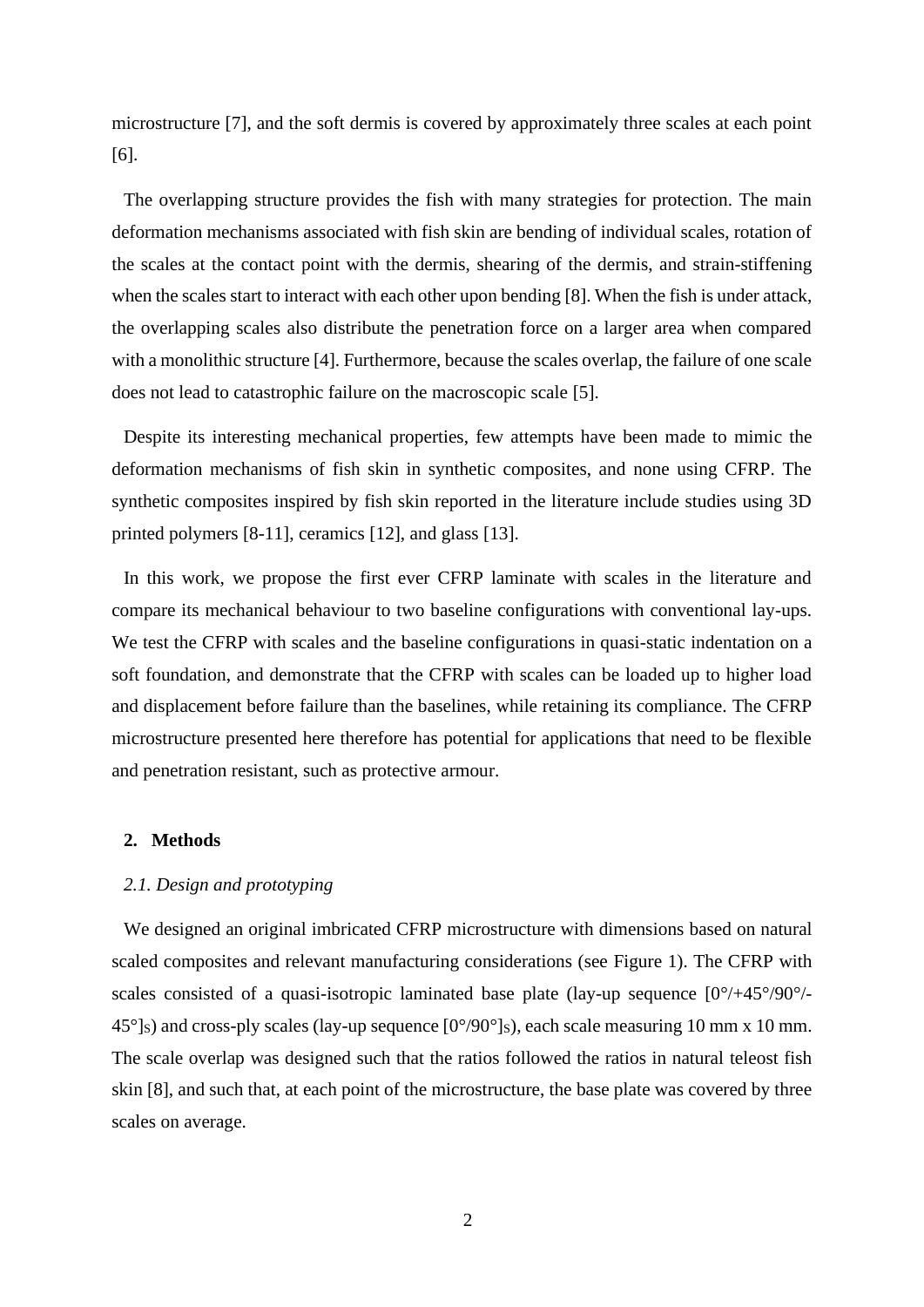microstructure [7], and the soft dermis is covered by approximately three scales at each point [6].

The overlapping structure provides the fish with many strategies for protection. The main deformation mechanisms associated with fish skin are bending of individual scales, rotation of the scales at the contact point with the dermis, shearing of the dermis, and strain-stiffening when the scales start to interact with each other upon bending [8]. When the fish is under attack, the overlapping scales also distribute the penetration force on a larger area when compared with a monolithic structure [4]. Furthermore, because the scales overlap, the failure of one scale does not lead to catastrophic failure on the macroscopic scale [5].

Despite its interesting mechanical properties, few attempts have been made to mimic the deformation mechanisms of fish skin in synthetic composites, and none using CFRP. The synthetic composites inspired by fish skin reported in the literature include studies using 3D printed polymers [8-11], ceramics [12], and glass [13].

In this work, we propose the first ever CFRP laminate with scales in the literature and compare its mechanical behaviour to two baseline configurations with conventional lay-ups. We test the CFRP with scales and the baseline configurations in quasi-static indentation on a soft foundation, and demonstrate that the CFRP with scales can be loaded up to higher load and displacement before failure than the baselines, while retaining its compliance. The CFRP microstructure presented here therefore has potential for applications that need to be flexible and penetration resistant, such as protective armour.

## **2. Methods**

### *2.1. Design and prototyping*

We designed an original imbricated CFRP microstructure with dimensions based on natural scaled composites and relevant manufacturing considerations (see [Figure 1\)](#page-2-0). The CFRP with scales consisted of a quasi-isotropic laminated base plate (lay-up sequence  $[0^{\circ}/+45^{\circ}/90^{\circ}/-10^{\circ}]$  $45^{\circ}$ ]<sub>S</sub>) and cross-ply scales (lay-up sequence [0°/90°]<sub>S</sub>), each scale measuring 10 mm x 10 mm. The scale overlap was designed such that the ratios followed the ratios in natural teleost fish skin [8], and such that, at each point of the microstructure, the base plate was covered by three scales on average.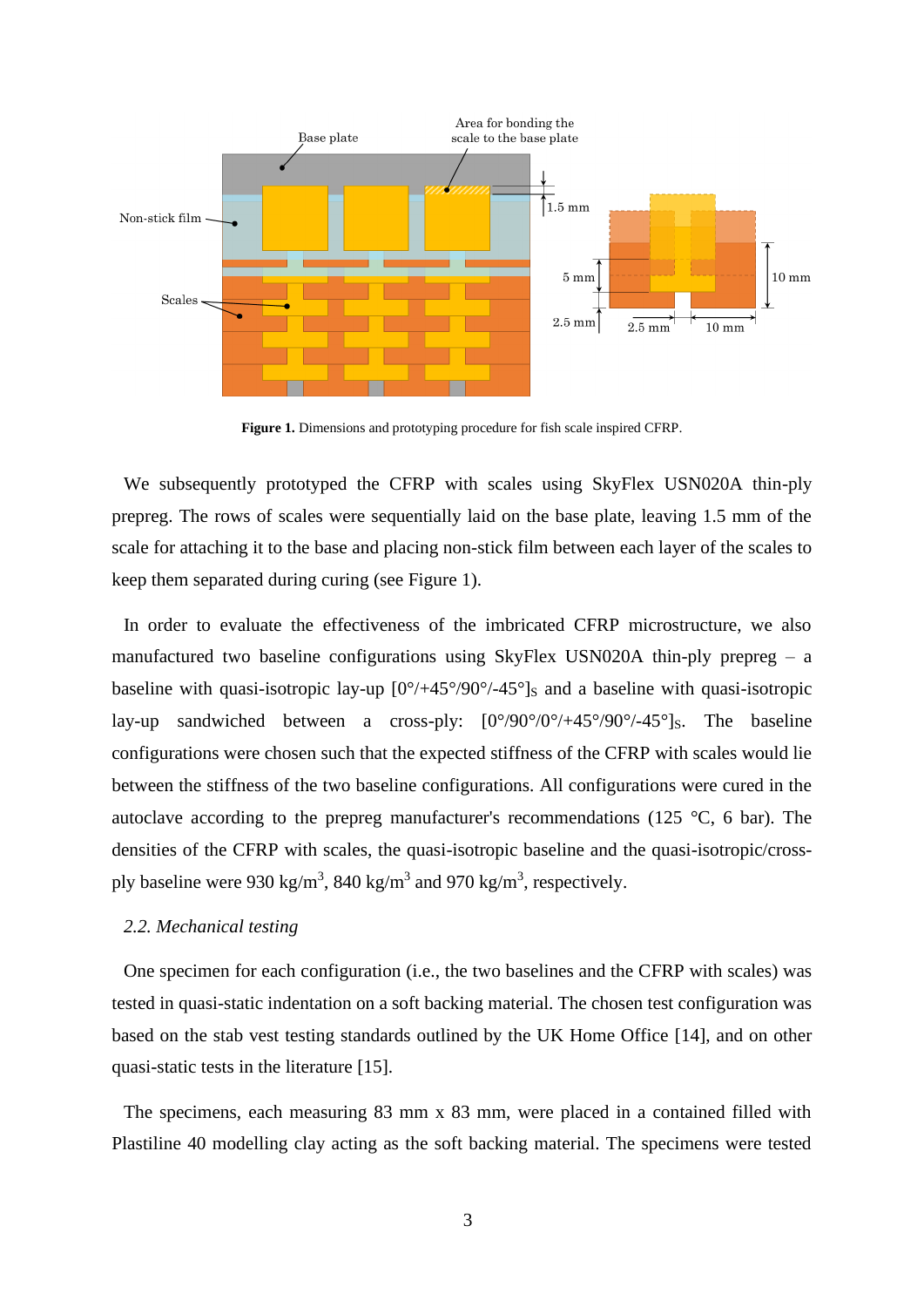

**Figure 1.** Dimensions and prototyping procedure for fish scale inspired CFRP.

<span id="page-2-0"></span>We subsequently prototyped the CFRP with scales using SkyFlex USN020A thin-ply prepreg. The rows of scales were sequentially laid on the base plate, leaving 1.5 mm of the scale for attaching it to the base and placing non-stick film between each layer of the scales to keep them separated during curing (see [Figure 1\)](#page-2-0).

In order to evaluate the effectiveness of the imbricated CFRP microstructure, we also manufactured two baseline configurations using SkyFlex USN020A thin-ply prepreg  $-$  a baseline with quasi-isotropic lay-up  $[0^{\circ}/45^{\circ}/90^{\circ}/45^{\circ}]$ s and a baseline with quasi-isotropic lay-up sandwiched between a cross-ply:  $[0^{\circ}/90^{\circ}/0^{\circ}/+45^{\circ}/90^{\circ}/-45^{\circ}]$ s. The baseline configurations were chosen such that the expected stiffness of the CFRP with scales would lie between the stiffness of the two baseline configurations. All configurations were cured in the autoclave according to the prepreg manufacturer's recommendations (125 °C, 6 bar). The densities of the CFRP with scales, the quasi-isotropic baseline and the quasi-isotropic/crossply baseline were 930 kg/m<sup>3</sup>, 840 kg/m<sup>3</sup> and 970 kg/m<sup>3</sup>, respectively.

### *2.2. Mechanical testing*

One specimen for each configuration (i.e., the two baselines and the CFRP with scales) was tested in quasi-static indentation on a soft backing material. The chosen test configuration was based on the stab vest testing standards outlined by the UK Home Office [14], and on other quasi-static tests in the literature [15].

The specimens, each measuring 83 mm x 83 mm, were placed in a contained filled with Plastiline 40 modelling clay acting as the soft backing material. The specimens were tested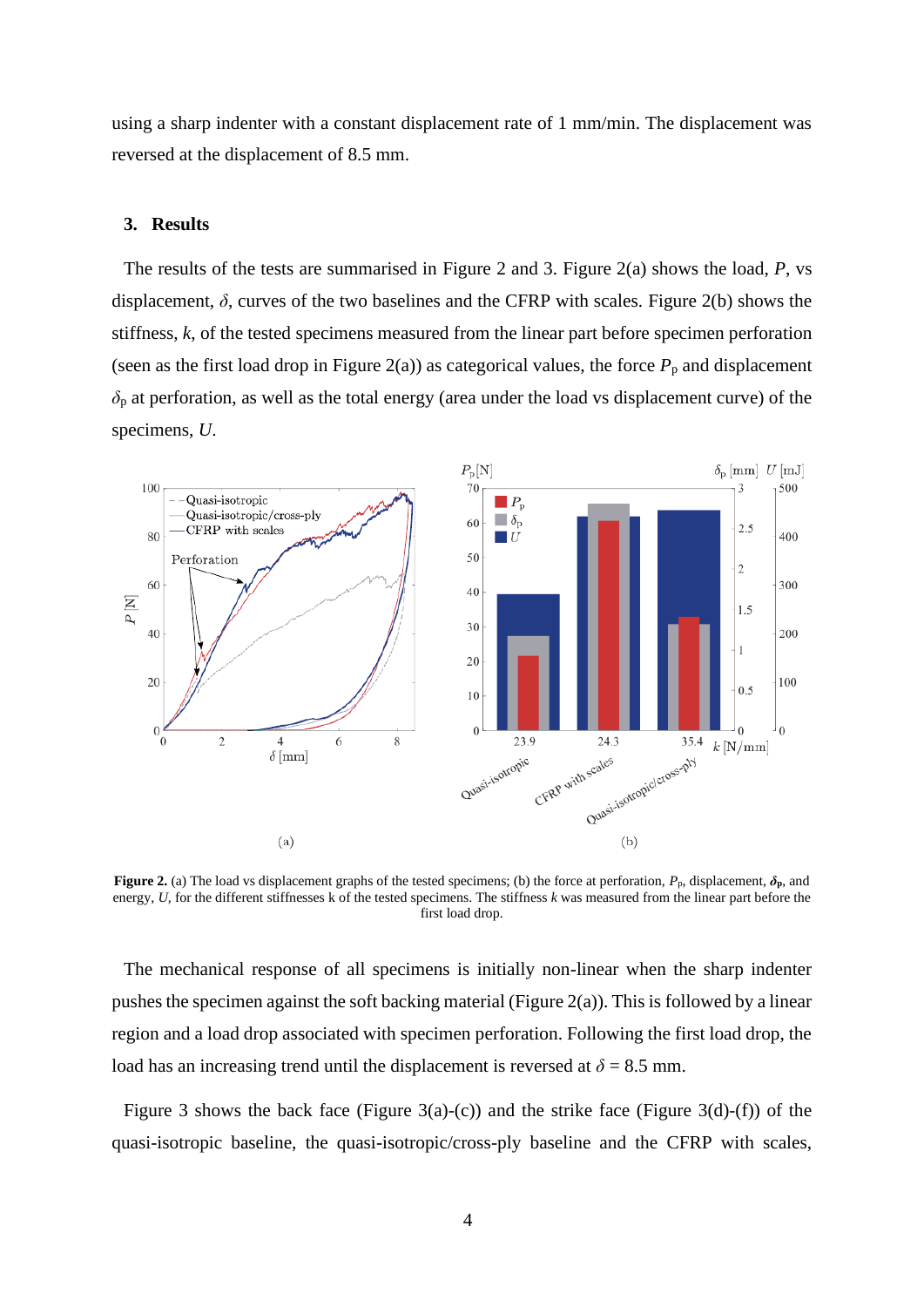using a sharp indenter with a constant displacement rate of 1 mm/min. The displacement was reversed at the displacement of 8.5 mm.

#### **3. Results**

The results of the tests are summarised in [Figure 2](#page-3-0) and 3. [Figure 2\(](#page-3-0)a) shows the load, *P*, vs displacement,  $\delta$ , curves of the two baselines and the CFRP with scales. [Figure 2\(](#page-3-0)b) shows the stiffness, *k*, of the tested specimens measured from the linear part before specimen perforation (seen as the first load drop in [Figure 2\(](#page-3-0)a)) as categorical values, the force  $P_p$  and displacement  $\delta_p$  at perforation, as well as the total energy (area under the load vs displacement curve) of the specimens, *U*.



<span id="page-3-0"></span>**Figure 2.** (a) The load vs displacement graphs of the tested specimens; (b) the force at perforation, *P*p, displacement, *δ***p**, and energy, *U*, for the different stiffnesses k of the tested specimens. The stiffness *k* was measured from the linear part before the first load drop.

The mechanical response of all specimens is initially non-linear when the sharp indenter pushes the specimen against the soft backing material [\(Figure 2\(](#page-3-0)a)). This is followed by a linear region and a load drop associated with specimen perforation. Following the first load drop, the load has an increasing trend until the displacement is reversed at  $\delta = 8.5$  mm.

[Figure 3](#page-4-0) shows the back face [\(Figure 3\(](#page-4-0)a)-(c)) and the strike face (Figure 3(d)-(f)) of the quasi-isotropic baseline, the quasi-isotropic/cross-ply baseline and the CFRP with scales,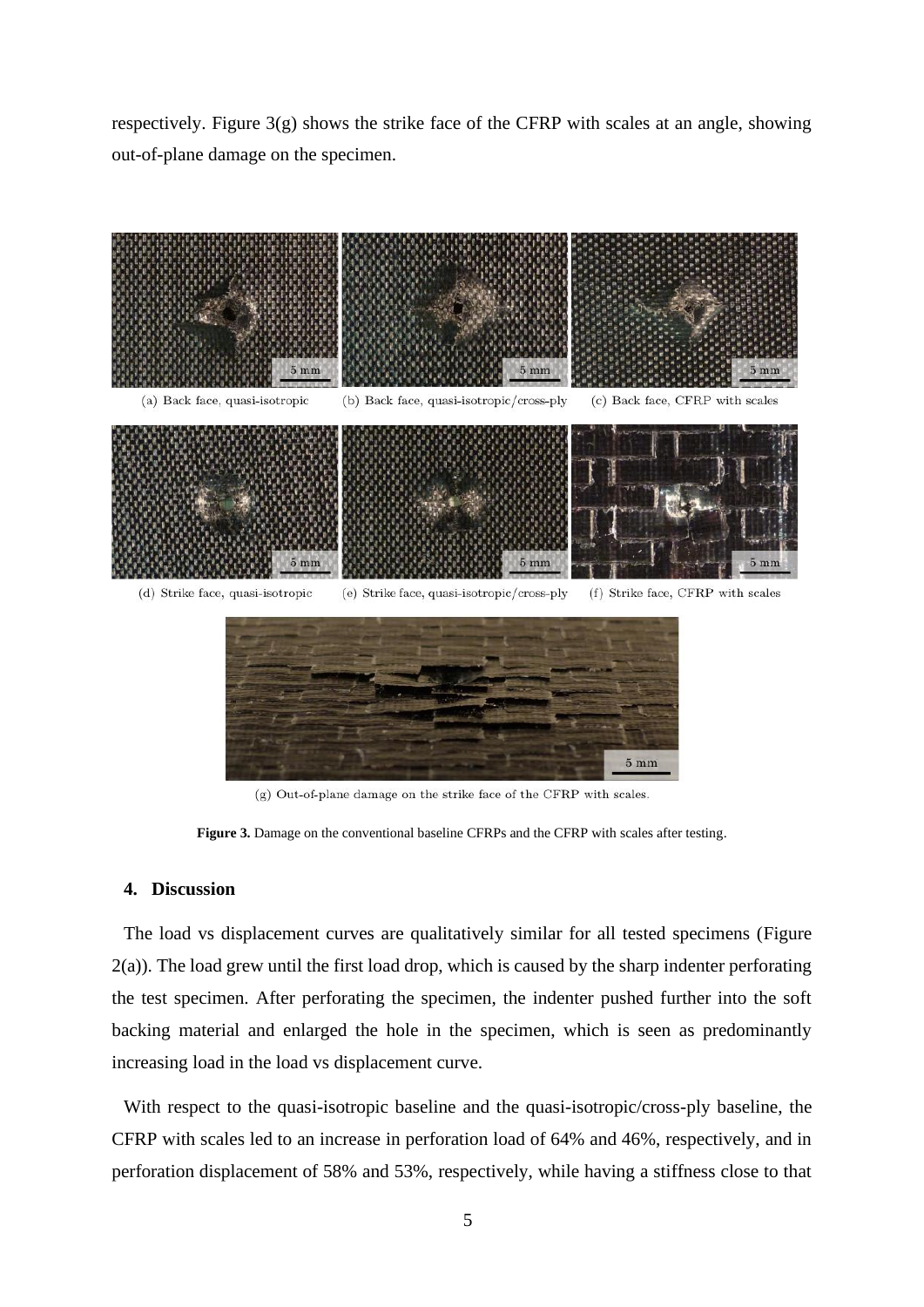respectively. [Figure 3\(](#page-4-0)g) shows the strike face of the CFRP with scales at an angle, showing out-of-plane damage on the specimen.



 $(g)$  Out-of-plane damage on the strike face of the CFRP with scales.

Figure 3. Damage on the conventional baseline CFRPs and the CFRP with scales after testing.

#### <span id="page-4-0"></span>**4. Discussion**

The load vs displacement curves are qualitatively similar for all tested specimens [\(Figure](#page-3-0)  [2\(](#page-3-0)a)). The load grew until the first load drop, which is caused by the sharp indenter perforating the test specimen. After perforating the specimen, the indenter pushed further into the soft backing material and enlarged the hole in the specimen, which is seen as predominantly increasing load in the load vs displacement curve.

With respect to the quasi-isotropic baseline and the quasi-isotropic/cross-ply baseline, the CFRP with scales led to an increase in perforation load of 64% and 46%, respectively, and in perforation displacement of 58% and 53%, respectively, while having a stiffness close to that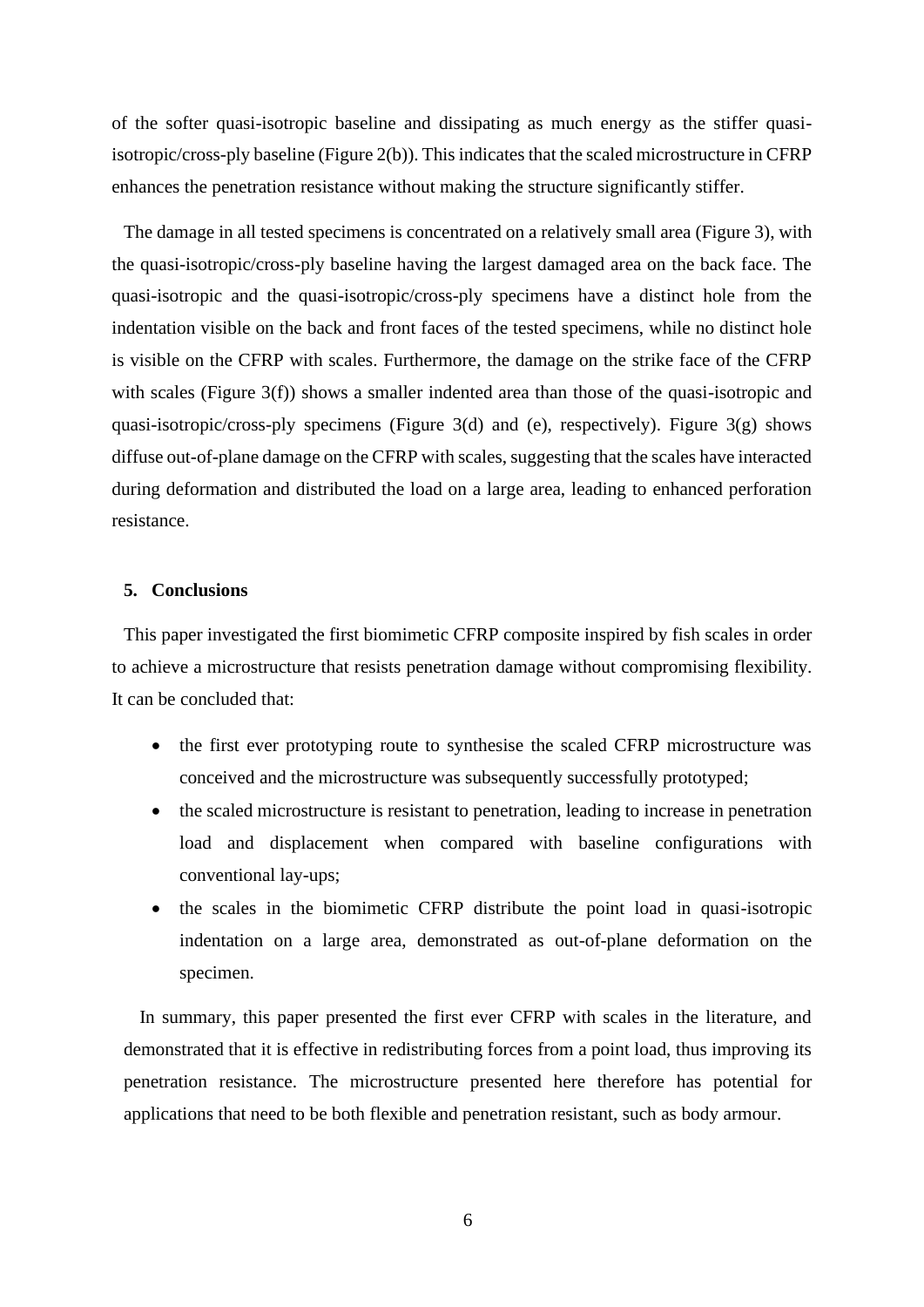of the softer quasi-isotropic baseline and dissipating as much energy as the stiffer quasiisotropic/cross-ply baseline [\(Figure 2\(](#page-3-0)b)). This indicates that the scaled microstructure in CFRP enhances the penetration resistance without making the structure significantly stiffer.

The damage in all tested specimens is concentrated on a relatively small area [\(Figure 3\)](#page-4-0), with the quasi-isotropic/cross-ply baseline having the largest damaged area on the back face. The quasi-isotropic and the quasi-isotropic/cross-ply specimens have a distinct hole from the indentation visible on the back and front faces of the tested specimens, while no distinct hole is visible on the CFRP with scales. Furthermore, the damage on the strike face of the CFRP with scales [\(Figure 3\(](#page-4-0)f)) shows a smaller indented area than those of the quasi-isotropic and quasi-isotropic/cross-ply specimens [\(Figure 3\(](#page-4-0)d) and (e), respectively). [Figure 3\(](#page-4-0)g) shows diffuse out-of-plane damage on the CFRP with scales, suggesting that the scales have interacted during deformation and distributed the load on a large area, leading to enhanced perforation resistance.

#### **5. Conclusions**

This paper investigated the first biomimetic CFRP composite inspired by fish scales in order to achieve a microstructure that resists penetration damage without compromising flexibility. It can be concluded that:

- the first ever prototyping route to synthesise the scaled CFRP microstructure was conceived and the microstructure was subsequently successfully prototyped;
- the scaled microstructure is resistant to penetration, leading to increase in penetration load and displacement when compared with baseline configurations with conventional lay-ups;
- the scales in the biomimetic CFRP distribute the point load in quasi-isotropic indentation on a large area, demonstrated as out-of-plane deformation on the specimen.

In summary, this paper presented the first ever CFRP with scales in the literature, and demonstrated that it is effective in redistributing forces from a point load, thus improving its penetration resistance. The microstructure presented here therefore has potential for applications that need to be both flexible and penetration resistant, such as body armour.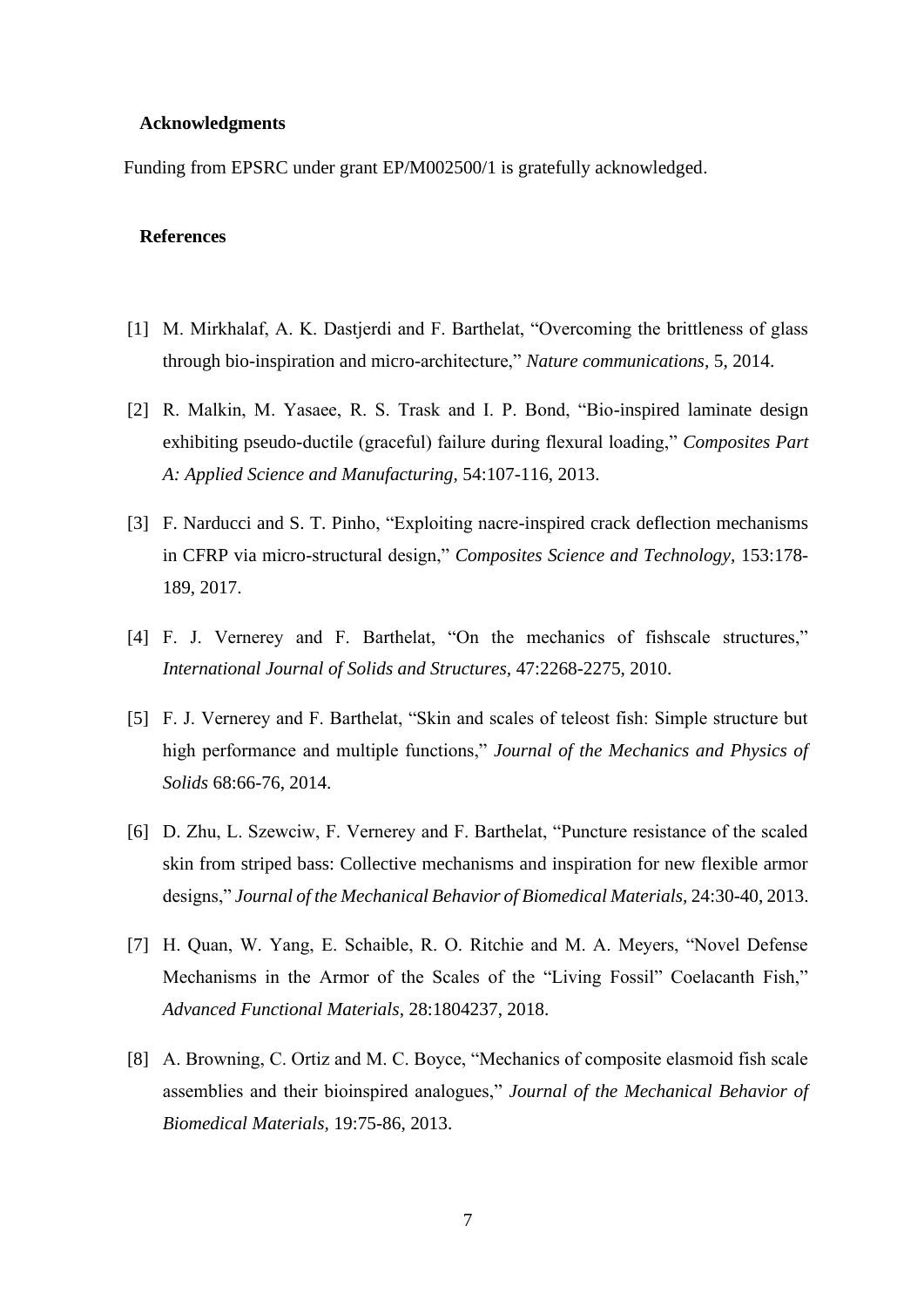### **Acknowledgments**

Funding from EPSRC under grant EP/M002500/1 is gratefully acknowledged.

# **References**

- [1] M. Mirkhalaf, A. K. Dastjerdi and F. Barthelat, "Overcoming the brittleness of glass through bio-inspiration and micro-architecture," *Nature communications,* 5, 2014.
- [2] R. Malkin, M. Yasaee, R. S. Trask and I. P. Bond, "Bio-inspired laminate design exhibiting pseudo-ductile (graceful) failure during flexural loading," *Composites Part A: Applied Science and Manufacturing,* 54:107-116, 2013.
- [3] F. Narducci and S. T. Pinho, "Exploiting nacre-inspired crack deflection mechanisms in CFRP via micro-structural design," *Composites Science and Technology,* 153:178- 189, 2017.
- [4] F. J. Vernerey and F. Barthelat, "On the mechanics of fishscale structures," *International Journal of Solids and Structures,* 47:2268-2275, 2010.
- [5] F. J. Vernerey and F. Barthelat, "Skin and scales of teleost fish: Simple structure but high performance and multiple functions," *Journal of the Mechanics and Physics of Solids* 68:66-76, 2014.
- [6] D. Zhu, L. Szewciw, F. Vernerey and F. Barthelat, "Puncture resistance of the scaled skin from striped bass: Collective mechanisms and inspiration for new flexible armor designs," *Journal of the Mechanical Behavior of Biomedical Materials,* 24:30-40, 2013.
- [7] H. Quan, W. Yang, E. Schaible, R. O. Ritchie and M. A. Meyers, "Novel Defense Mechanisms in the Armor of the Scales of the "Living Fossil" Coelacanth Fish," *Advanced Functional Materials,* 28:1804237, 2018.
- [8] A. Browning, C. Ortiz and M. C. Boyce, "Mechanics of composite elasmoid fish scale assemblies and their bioinspired analogues," *Journal of the Mechanical Behavior of Biomedical Materials,* 19:75-86, 2013.